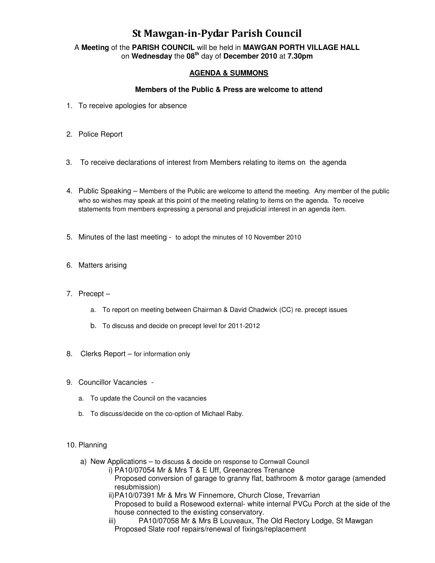## St Mawgan-in-Pydar Parish Council

A **Meeting** of the **PARISH COUNCIL** will be held in **MAWGAN PORTH VILLAGE HALL** on **Wednesday** the **08th** day of **December 2010** at **7.30pm** 

### **AGENDA & SUMMONS**

#### **Members of the Public & Press are welcome to attend**

- 1. To receive apologies for absence
- 2. Police Report
- 3. To receive declarations of interest from Members relating to items on the agenda
- 4. Public Speaking Members of the Public are welcome to attend the meeting. Any member of the public who so wishes may speak at this point of the meeting relating to items on the agenda. To receive statements from members expressing a personal and prejudicial interest in an agenda item.
- 5. Minutes of the last meeting to adopt the minutes of 10 November 2010
- 6. Matters arising
- 7. Precept
	- a. To report on meeting between Chairman & David Chadwick (CC) re. precept issues
	- b. To discuss and decide on precept level for 2011-2012
- 8. Clerks Report for information only
- 9. Councillor Vacancies
	- a. To update the Council on the vacancies
	- b. To discuss/decide on the co-option of Michael Raby.

#### 10. Planning

- a) New Applications to discuss & decide on response to Cornwall Council
	- i) PA10/07054 Mr & Mrs T & E Uff, Greenacres Trenance Proposed conversion of garage to granny flat, bathroom & motor garage (amended resubmission)
	- ii) PA10/07391 Mr & Mrs W Finnemore, Church Close, Trevarrian Proposed to build a Rosewood external- white internal PVCu Porch at the side of the house connected to the existing conservatory.
	- iii) PA10/07058 Mr & Mrs B Louveaux, The Old Rectory Lodge, St Mawgan Proposed Slate roof repairs/renewal of fixings/replacement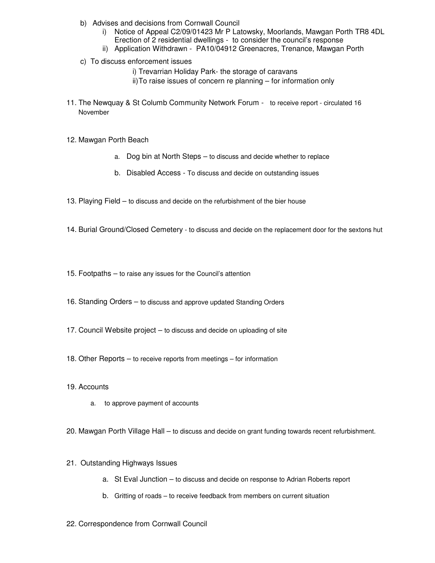- b) Advises and decisions from Cornwall Council
	- i) Notice of Appeal C2/09/01423 Mr P Latowsky, Moorlands, Mawgan Porth TR8 4DL Erection of 2 residential dwellings - to consider the council's response
	- ii) Application Withdrawn PA10/04912 Greenacres, Trenance, Mawgan Porth
- c) To discuss enforcement issues
	- i) Trevarrian Holiday Park- the storage of caravans
	- ii) To raise issues of concern re planning for information only
- 11. The Newquay & St Columb Community Network Forum to receive report circulated 16 November
- 12. Mawgan Porth Beach
	- a. Dog bin at North Steps to discuss and decide whether to replace
	- b. Disabled Access To discuss and decide on outstanding issues
- 13. Playing Field to discuss and decide on the refurbishment of the bier house
- 14. Burial Ground/Closed Cemetery to discuss and decide on the replacement door for the sextons hut
- 15. Footpaths to raise any issues for the Council's attention
- 16. Standing Orders to discuss and approve updated Standing Orders
- 17. Council Website project to discuss and decide on uploading of site
- 18. Other Reports to receive reports from meetings for information
- 19. Accounts
	- a. to approve payment of accounts
- 20. Mawgan Porth Village Hall to discuss and decide on grant funding towards recent refurbishment.
- 21. Outstanding Highways Issues
	- a. St Eval Junction to discuss and decide on response to Adrian Roberts report
	- b. Gritting of roads to receive feedback from members on current situation
- 22. Correspondence from Cornwall Council